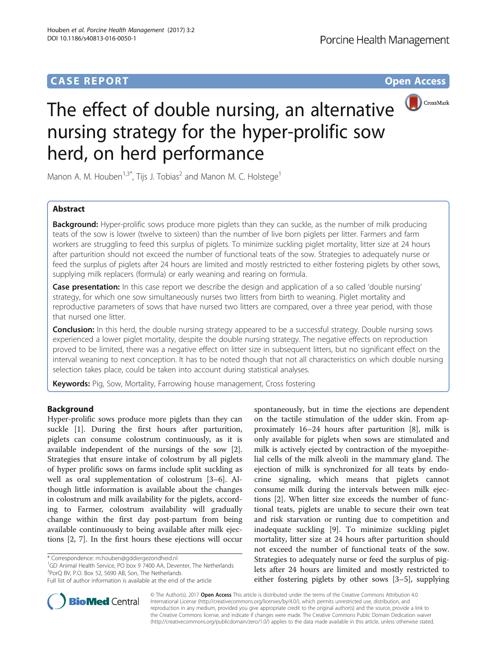# **CASE REPORT CASE REPORT CASE REPORT**



# The effect of double nursing, an alternative nursing strategy for the hyper-prolific sow herd, on herd performance

Manon A. M. Houben<sup>1,3\*</sup>, Tijs J. Tobias<sup>2</sup> and Manon M. C. Holstege<sup>1</sup>

# Abstract

**Background:** Hyper-prolific sows produce more piglets than they can suckle, as the number of milk producing teats of the sow is lower (twelve to sixteen) than the number of live born piglets per litter. Farmers and farm workers are struggling to feed this surplus of piglets. To minimize suckling piglet mortality, litter size at 24 hours after parturition should not exceed the number of functional teats of the sow. Strategies to adequately nurse or feed the surplus of piglets after 24 hours are limited and mostly restricted to either fostering piglets by other sows, supplying milk replacers (formula) or early weaning and rearing on formula.

Case presentation: In this case report we describe the design and application of a so called 'double nursing' strategy, for which one sow simultaneously nurses two litters from birth to weaning. Piglet mortality and reproductive parameters of sows that have nursed two litters are compared, over a three year period, with those that nursed one litter.

**Conclusion:** In this herd, the double nursing strategy appeared to be a successful strategy. Double nursing sows experienced a lower piglet mortality, despite the double nursing strategy. The negative effects on reproduction proved to be limited, there was a negative effect on litter size in subsequent litters, but no significant effect on the interval weaning to next conception. It has to be noted though that not all characteristics on which double nursing selection takes place, could be taken into account during statistical analyses.

**Keywords:** Pig, Sow, Mortality, Farrowing house management, Cross fostering

## Background

Hyper-prolific sows produce more piglets than they can suckle [\[1](#page-6-0)]. During the first hours after parturition, piglets can consume colostrum continuously, as it is available independent of the nursings of the sow [\[2](#page-6-0)]. Strategies that ensure intake of colostrum by all piglets of hyper prolific sows on farms include split suckling as well as oral supplementation of colostrum [[3](#page-6-0)–[6\]](#page-6-0). Although little information is available about the changes in colostrum and milk availability for the piglets, according to Farmer, colostrum availability will gradually change within the first day post-partum from being available continuously to being available after milk ejections [[2, 7](#page-6-0)]. In the first hours these ejections will occur

<sup>1</sup>GD Animal Health Service, PO box 9 7400 AA, Deventer, The Netherlands <sup>3</sup>PorQ BV, P.O. Box 52, 5690 AB, Son, The Netherlands

spontaneously, but in time the ejections are dependent on the tactile stimulation of the udder skin. From approximately 16–24 hours after parturition [[8](#page-6-0)], milk is only available for piglets when sows are stimulated and milk is actively ejected by contraction of the myoepithelial cells of the milk alveoli in the mammary gland. The ejection of milk is synchronized for all teats by endocrine signaling, which means that piglets cannot consume milk during the intervals between milk ejections [[2\]](#page-6-0). When litter size exceeds the number of functional teats, piglets are unable to secure their own teat and risk starvation or runting due to competition and inadequate suckling [\[9\]](#page-6-0). To minimize suckling piglet mortality, litter size at 24 hours after parturition should not exceed the number of functional teats of the sow. Strategies to adequately nurse or feed the surplus of piglets after 24 hours are limited and mostly restricted to either fostering piglets by other sows [\[3](#page-6-0)–[5](#page-6-0)], supplying



© The Author(s). 2017 **Open Access** This article is distributed under the terms of the Creative Commons Attribution 4.0 International License [\(http://creativecommons.org/licenses/by/4.0/](http://creativecommons.org/licenses/by/4.0/)), which permits unrestricted use, distribution, and reproduction in any medium, provided you give appropriate credit to the original author(s) and the source, provide a link to the Creative Commons license, and indicate if changes were made. The Creative Commons Public Domain Dedication waiver [\(http://creativecommons.org/publicdomain/zero/1.0/](http://creativecommons.org/publicdomain/zero/1.0/)) applies to the data made available in this article, unless otherwise stated.

<sup>\*</sup> Correspondence: [m.houben@gddiergezondheid.nl](mailto:m.houben@gddiergezondheid.nl) <sup>1</sup>

Full list of author information is available at the end of the article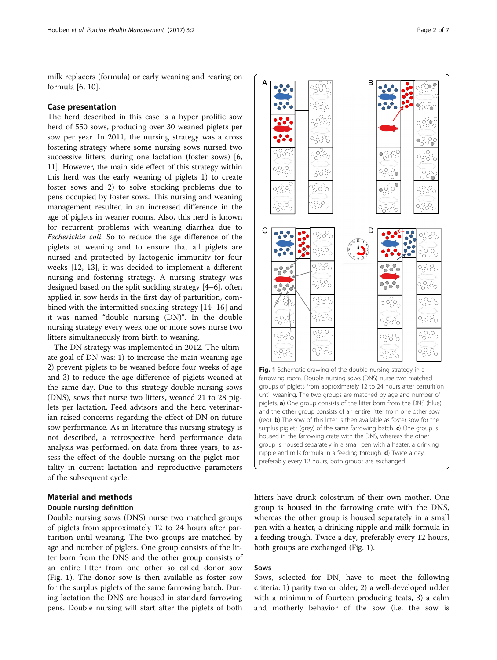milk replacers (formula) or early weaning and rearing on formula [[6, 10\]](#page-6-0).

### Case presentation

The herd described in this case is a hyper prolific sow herd of 550 sows, producing over 30 weaned piglets per sow per year. In 2011, the nursing strategy was a cross fostering strategy where some nursing sows nursed two successive litters, during one lactation (foster sows) [\[6](#page-6-0), [11\]](#page-6-0). However, the main side effect of this strategy within this herd was the early weaning of piglets 1) to create foster sows and 2) to solve stocking problems due to pens occupied by foster sows. This nursing and weaning management resulted in an increased difference in the age of piglets in weaner rooms. Also, this herd is known for recurrent problems with weaning diarrhea due to Escherichia coli. So to reduce the age difference of the piglets at weaning and to ensure that all piglets are nursed and protected by lactogenic immunity for four weeks [\[12](#page-6-0), [13\]](#page-6-0), it was decided to implement a different nursing and fostering strategy. A nursing strategy was designed based on the split suckling strategy [[4](#page-6-0)–[6](#page-6-0)], often applied in sow herds in the first day of parturition, combined with the intermitted suckling strategy [[14](#page-6-0)–[16](#page-6-0)] and it was named "double nursing (DN)". In the double nursing strategy every week one or more sows nurse two litters simultaneously from birth to weaning.

The DN strategy was implemented in 2012. The ultimate goal of DN was: 1) to increase the main weaning age 2) prevent piglets to be weaned before four weeks of age and 3) to reduce the age difference of piglets weaned at the same day. Due to this strategy double nursing sows (DNS), sows that nurse two litters, weaned 21 to 28 piglets per lactation. Feed advisors and the herd veterinarian raised concerns regarding the effect of DN on future sow performance. As in literature this nursing strategy is not described, a retrospective herd performance data analysis was performed, on data from three years, to assess the effect of the double nursing on the piglet mortality in current lactation and reproductive parameters of the subsequent cycle.

## Material and methods

## Double nursing definition

Double nursing sows (DNS) nurse two matched groups of piglets from approximately 12 to 24 hours after parturition until weaning. The two groups are matched by age and number of piglets. One group consists of the litter born from the DNS and the other group consists of an entire litter from one other so called donor sow (Fig. 1). The donor sow is then available as foster sow for the surplus piglets of the same farrowing batch. During lactation the DNS are housed in standard farrowing pens. Double nursing will start after the piglets of both



litters have drunk colostrum of their own mother. One group is housed in the farrowing crate with the DNS, whereas the other group is housed separately in a small pen with a heater, a drinking nipple and milk formula in a feeding trough. Twice a day, preferably every 12 hours, both groups are exchanged (Fig. 1).

## Sows

Sows, selected for DN, have to meet the following criteria: 1) parity two or older, 2) a well-developed udder with a minimum of fourteen producing teats, 3) a calm and motherly behavior of the sow (i.e. the sow is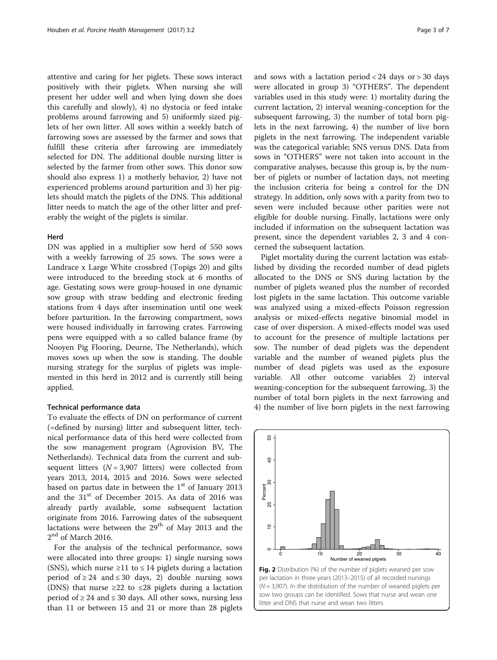<span id="page-2-0"></span>attentive and caring for her piglets. These sows interact positively with their piglets. When nursing she will present her udder well and when lying down she does this carefully and slowly), 4) no dystocia or feed intake problems around farrowing and 5) uniformly sized piglets of her own litter. All sows within a weekly batch of farrowing sows are assessed by the farmer and sows that fulfill these criteria after farrowing are immediately selected for DN. The additional double nursing litter is selected by the farmer from other sows. This donor sow should also express 1) a motherly behavior, 2) have not experienced problems around parturition and 3) her piglets should match the piglets of the DNS. This additional litter needs to match the age of the other litter and preferably the weight of the piglets is similar.

## Herd

DN was applied in a multiplier sow herd of 550 sows with a weekly farrowing of 25 sows. The sows were a Landrace x Large White crossbred (Topigs 20) and gilts were introduced to the breeding stock at 6 months of age. Gestating sows were group-housed in one dynamic sow group with straw bedding and electronic feeding stations from 4 days after insemination until one week before parturition. In the farrowing compartment, sows were housed individually in farrowing crates. Farrowing pens were equipped with a so called balance frame (by Nooyen Pig Flooring, Deurne, The Netherlands), which moves sows up when the sow is standing. The double nursing strategy for the surplus of piglets was implemented in this herd in 2012 and is currently still being applied.

## Technical performance data

To evaluate the effects of DN on performance of current (=defined by nursing) litter and subsequent litter, technical performance data of this herd were collected from the sow management program (Agrovision BV, The Netherlands). Technical data from the current and subsequent litters  $(N = 3.907$  litters) were collected from years 2013, 2014, 2015 and 2016. Sows were selected based on partus date in between the  $1<sup>st</sup>$  of January 2013 and the 31<sup>st</sup> of December 2015. As data of 2016 was already partly available, some subsequent lactation originate from 2016. Farrowing dates of the subsequent lactations were between the 29<sup>th</sup> of May 2013 and the 2<sup>nd</sup> of March 2016.

For the analysis of the technical performance, sows were allocated into three groups: 1) single nursing sows (SNS), which nurse  $\geq$ 11 to  $\leq$  14 piglets during a lactation period of  $\geq 24$  and  $\leq 30$  days, 2) double nursing sows (DNS) that nurse  $\geq 22$  to  $\leq 28$  piglets during a lactation period of ≥ 24 and ≤ 30 days. All other sows, nursing less than 11 or between 15 and 21 or more than 28 piglets and sows with a lactation period < 24 days or > 30 days were allocated in group 3) "OTHERS". The dependent variables used in this study were: 1) mortality during the current lactation, 2) interval weaning-conception for the subsequent farrowing, 3) the number of total born piglets in the next farrowing, 4) the number of live born piglets in the next farrowing. The independent variable was the categorical variable; SNS versus DNS. Data from sows in "OTHERS" were not taken into account in the comparative analyses, because this group is, by the number of piglets or number of lactation days, not meeting the inclusion criteria for being a control for the DN strategy. In addition, only sows with a parity from two to seven were included because other parities were not eligible for double nursing. Finally, lactations were only included if information on the subsequent lactation was present, since the dependent variables 2, 3 and 4 concerned the subsequent lactation.

Piglet mortality during the current lactation was established by dividing the recorded number of dead piglets allocated to the DNS or SNS during lactation by the number of piglets weaned plus the number of recorded lost piglets in the same lactation. This outcome variable was analyzed using a mixed-effects Poisson regression analysis or mixed-effects negative binomial model in case of over dispersion. A mixed-effects model was used to account for the presence of multiple lactations per sow. The number of dead piglets was the dependent variable and the number of weaned piglets plus the number of dead piglets was used as the exposure variable. All other outcome variables 2) interval weaning-conception for the subsequent farrowing, 3) the number of total born piglets in the next farrowing and 4) the number of live born piglets in the next farrowing

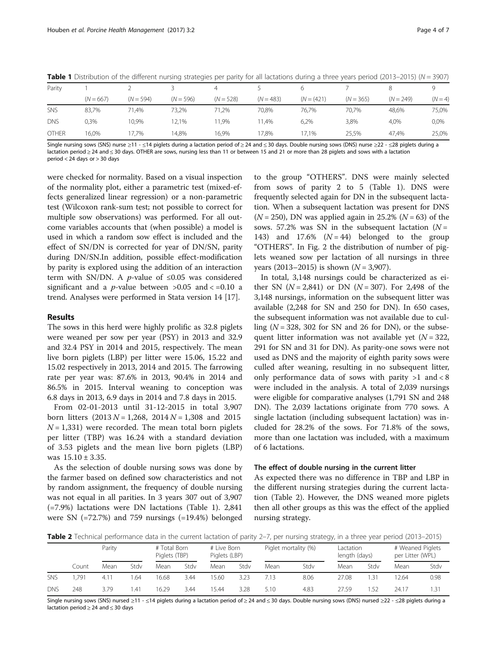| Parity       |             |             |             |             |             |              |             |             |           |
|--------------|-------------|-------------|-------------|-------------|-------------|--------------|-------------|-------------|-----------|
|              | $(N = 667)$ | $(N = 594)$ | $(N = 596)$ | $(N = 528)$ | $(N = 483)$ | $(N = (421)$ | $(N = 365)$ | $(N = 249)$ | $(N = 4)$ |
| SNS          | 83.7%       | 1,4%        | 73.2%       | 71,2%       | 70.8%       | 76.7%        | 70.7%       | 48.6%       | 75,0%     |
| <b>DNS</b>   | 0.3%        | 10.9%       | 12.1%       | 1.9%        | 11.4%       | 6,2%         | 3,8%        | 4.0%        | 0,0%      |
| <b>OTHER</b> | 16.0%       | 7.7%        | 14.8%       | 16.9%       | 17.8%       | 17.1%        | 25,5%       | 47.4%       | 25,0%     |

**Table 1** Distribution of the different nursing strategies per parity for all lactations during a three years period (2013–2015) ( $N = 3907$ )

Single nursing sows (SNS) nurse ≥11 - ≤14 piglets during a lactation period of ≥ 24 and ≤ 30 days. Double nursing sows (DNS) nurse ≥22 - ≤28 piglets during a lactation period ≥ 24 and ≤ 30 days. OTHER are sows, nursing less than 11 or between 15 and 21 or more than 28 piglets and sows with a lactation period < 24 days or > 30 days

were checked for normality. Based on a visual inspection of the normality plot, either a parametric test (mixed-effects generalized linear regression) or a non-parametric test (Wilcoxon rank-sum test; not possible to correct for multiple sow observations) was performed. For all outcome variables accounts that (when possible) a model is used in which a random sow effect is included and the effect of SN/DN is corrected for year of DN/SN, parity during DN/SN.In addition, possible effect-modification by parity is explored using the addition of an interaction term with SN/DN. A *p*-value of  $\leq 0.05$  was considered significant and a *p*-value between  $>0.05$  and  $<=0.10$  a trend. Analyses were performed in Stata version 14 [\[17](#page-6-0)].

## Results

The sows in this herd were highly prolific as 32.8 piglets were weaned per sow per year (PSY) in 2013 and 32.9 and 32.4 PSY in 2014 and 2015, respectively. The mean live born piglets (LBP) per litter were 15.06, 15.22 and 15.02 respectively in 2013, 2014 and 2015. The farrowing rate per year was: 87.6% in 2013, 90.4% in 2014 and 86.5% in 2015. Interval weaning to conception was 6.8 days in 2013, 6.9 days in 2014 and 7.8 days in 2015.

From 02-01-2013 until 31-12-2015 in total 3,907 born litters  $(2013 N = 1,268, 2014 N = 1,308$  and 2015  $N = 1,331$ ) were recorded. The mean total born piglets per litter (TBP) was 16.24 with a standard deviation of 3.53 piglets and the mean live born piglets (LBP) was  $15.10 \pm 3.35$ .

As the selection of double nursing sows was done by the farmer based on defined sow characteristics and not by random assignment, the frequency of double nursing was not equal in all parities. In 3 years 307 out of 3,907 (=7.9%) lactations were DN lactations (Table 1). 2,841 were SN (=72.7%) and 759 nursings (=19.4%) belonged

to the group "OTHERS". DNS were mainly selected from sows of parity 2 to 5 (Table 1). DNS were frequently selected again for DN in the subsequent lactation. When a subsequent lactation was present for DNS  $(N = 250)$ , DN was applied again in 25.2%  $(N = 63)$  of the sows. 57.2% was SN in the subsequent lactation ( $N =$ 143) and 17.6%  $(N = 44)$  belonged to the group "OTHERS". In Fig. [2](#page-2-0) the distribution of number of piglets weaned sow per lactation of all nursings in three years (2013–2015) is shown  $(N = 3,907)$ .

In total, 3,148 nursings could be characterized as either SN  $(N = 2,841)$  or DN  $(N = 307)$ . For 2,498 of the 3,148 nursings, information on the subsequent litter was available (2,248 for SN and 250 for DN). In 650 cases, the subsequent information was not available due to culling ( $N = 328$ , 302 for SN and 26 for DN), or the subsequent litter information was not available yet  $(N = 322)$ , 291 for SN and 31 for DN). As parity-one sows were not used as DNS and the majority of eighth parity sows were culled after weaning, resulting in no subsequent litter, only performance data of sows with parity  $>1$  and  $< 8$ were included in the analysis. A total of 2,039 nursings were eligible for comparative analyses (1,791 SN and 248 DN). The 2,039 lactations originate from 770 sows. A single lactation (including subsequent lactation) was included for 28.2% of the sows. For 71.8% of the sows, more than one lactation was included, with a maximum of 6 lactations.

## The effect of double nursing in the current litter

As expected there was no difference in TBP and LBP in the different nursing strategies during the current lactation (Table 2). However, the DNS weaned more piglets then all other groups as this was the effect of the applied nursing strategy.

Table 2 Technical performance data in the current lactation of parity 2–7, per nursing strategy, in a three year period (2013–2015)

|            | Parity |      | # Total Born<br># Live Born<br>Piglets (LBP)<br>Piglets (TBP) |       |      | Piglet mortality (%) |      | Lactation<br>length (days) |      | # Weaned Piglets<br>per Litter (WPL) |              |       |      |
|------------|--------|------|---------------------------------------------------------------|-------|------|----------------------|------|----------------------------|------|--------------------------------------|--------------|-------|------|
|            | Count  | Mean | Stdv                                                          | Mean  | Stdv | Mean                 | Stdv | Mean                       | Stdv | Mean                                 | Stdv         | Mean  | Stdv |
| SNS        | .791   | 4.11 | 1.64                                                          | 6.68  | 3.44 | 15.60                | 3.23 | 7.13                       | 8.06 | 27.08                                | $.3^{\circ}$ | 12.64 | 0.98 |
| <b>DNS</b> | 248    | 3.79 | 1.41                                                          | 16.29 | 3.44 | 15.44                | 3.28 | 5.10                       | 4.83 | 27.59                                | .52          | 24.17 | .31  |

Single nursing sows (SNS) nursed ≥11 - ≤14 piglets during a lactation period of ≥ 24 and ≤ 30 days. Double nursing sows (DNS) nursed ≥22 - ≤28 piglets during a lactation period ≥ 24 and ≤ 30 days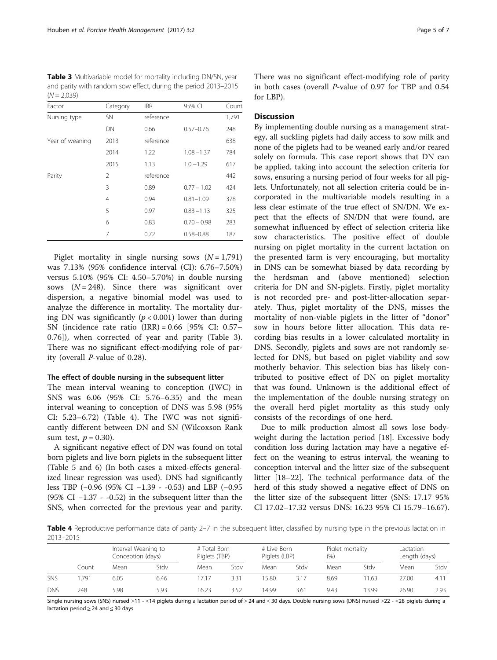Table 3 Multivariable model for mortality including DN/SN, year and parity with random sow effect, during the period 2013–2015  $(N = 2.039)$ 

| Factor          | Category  | <b>IRR</b> | 95% CI        | Count |
|-----------------|-----------|------------|---------------|-------|
| Nursing type    | <b>SN</b> | reference  |               | 1,791 |
|                 | DN        | 0.66       | $0.57 - 0.76$ | 248   |
| Year of weaning | 2013      | reference  |               | 638   |
|                 | 2014      | 1.22       | $1.08 - 1.37$ | 784   |
|                 | 2015      | 1.13       | $1.0 - 1.29$  | 617   |
| Parity          | 2         | reference  |               | 442   |
|                 | 3         | 0.89       | $0.77 - 1.02$ | 424   |
|                 | 4         | 0.94       | $0.81 - 1.09$ | 378   |
|                 | 5         | 0.97       | $0.83 - 1.13$ | 325   |
|                 | 6         | 0.83       | $0.70 - 0.98$ | 283   |
|                 | 7         | 0.72       | $0.58 - 0.88$ | 187   |

Piglet mortality in single nursing sows  $(N = 1,791)$ was 7.13% (95% confidence interval (CI): 6.76–7.50%) versus 5.10% (95% CI: 4.50–5.70%) in double nursing sows  $(N = 248)$ . Since there was significant over dispersion, a negative binomial model was used to analyze the difference in mortality. The mortality during DN was significantly ( $p < 0.001$ ) lower than during SN (incidence rate ratio  $(IRR) = 0.66$  [95% CI: 0.57– 0.76]), when corrected of year and parity (Table 3). There was no significant effect-modifying role of parity (overall P-value of 0.28).

## The effect of double nursing in the subsequent litter

The mean interval weaning to conception (IWC) in SNS was 6.06 (95% CI: 5.76–6.35) and the mean interval weaning to conception of DNS was 5.98 (95% CI: 5.23–6.72) (Table 4). The IWC was not significantly different between DN and SN (Wilcoxson Rank sum test,  $p = 0.30$ ).

A significant negative effect of DN was found on total born piglets and live born piglets in the subsequent litter (Table [5](#page-5-0) and [6](#page-5-0)) (In both cases a mixed-effects generalized linear regression was used). DNS had significantly less TBP (−0.96 (95% CI −1.39 - -0.53) and LBP (−0.95 (95% CI −1.37 - -0.52) in the subsequent litter than the SNS, when corrected for the previous year and parity. There was no significant effect-modifying role of parity in both cases (overall P-value of 0.97 for TBP and 0.54 for LBP).

## **Discussion**

By implementing double nursing as a management strategy, all suckling piglets had daily access to sow milk and none of the piglets had to be weaned early and/or reared solely on formula. This case report shows that DN can be applied, taking into account the selection criteria for sows, ensuring a nursing period of four weeks for all piglets. Unfortunately, not all selection criteria could be incorporated in the multivariable models resulting in a less clear estimate of the true effect of SN/DN. We expect that the effects of SN/DN that were found, are somewhat influenced by effect of selection criteria like sow characteristics. The positive effect of double nursing on piglet mortality in the current lactation on the presented farm is very encouraging, but mortality in DNS can be somewhat biased by data recording by the herdsman and (above mentioned) selection criteria for DN and SN-piglets. Firstly, piglet mortality is not recorded pre- and post-litter-allocation separately. Thus, piglet mortality of the DNS, misses the mortality of non-viable piglets in the litter of "donor" sow in hours before litter allocation. This data recording bias results in a lower calculated mortality in DNS. Secondly, piglets and sows are not randomly selected for DNS, but based on piglet viability and sow motherly behavior. This selection bias has likely contributed to positive effect of DN on piglet mortality that was found. Unknown is the additional effect of the implementation of the double nursing strategy on the overall herd piglet mortality as this study only consists of the recordings of one herd.

Due to milk production almost all sows lose bodyweight during the lactation period [\[18\]](#page-6-0). Excessive body condition loss during lactation may have a negative effect on the weaning to estrus interval, the weaning to conception interval and the litter size of the subsequent litter [[18](#page-6-0)–[22](#page-6-0)]. The technical performance data of the herd of this study showed a negative effect of DNS on the litter size of the subsequent litter (SNS: 17.17 95% CI 17.02–17.32 versus DNS: 16.23 95% CI 15.79–16.67).

Table 4 Reproductive performance data of parity 2–7 in the subsequent litter, classified by nursing type in the previous lactation in 2013–2015

|            | Count | Interval Weaning to<br>Conception (days) |      | # Total Born<br>Piglets (TBP) |      | # Live Born<br>Piglets (LBP) |      | Piglet mortality<br>(% ) |       | Lactation<br>Length (days) |      |
|------------|-------|------------------------------------------|------|-------------------------------|------|------------------------------|------|--------------------------|-------|----------------------------|------|
|            |       | Mean                                     | Stdv | Mean                          | Stdv | Mean                         | Stdv | Mean                     | Stdv  | Mean                       | Stdv |
| SNS        | .791  | 6.05                                     | 6.46 | 7.17                          | 3.31 | 5.80                         | 3.17 | 8.69                     | 11.63 | 27.00                      | 4.11 |
| <b>DNS</b> | 248   | 5.98                                     | 5.93 | 16.23                         | 3.52 | 4.99                         | 3.61 | 9.43                     | 13.99 | 26.90                      | 2.93 |

Single nursing sows (SNS) nursed ≥11 - ≤14 piglets during a lactation period of ≥ 24 and ≤ 30 days. Double nursing sows (DNS) nursed ≥22 - ≤28 piglets during a lactation period ≥ 24 and ≤ 30 days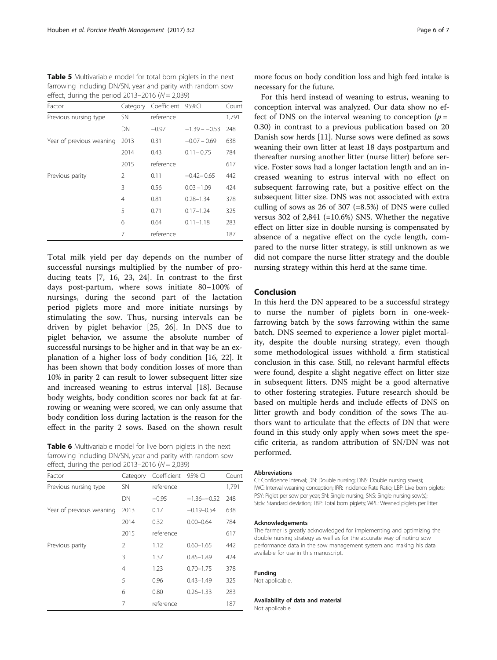<span id="page-5-0"></span>Table 5 Multivariable model for total born piglets in the next farrowing including DN/SN, year and parity with random sow effect, during the period  $2013-2016$  ( $N = 2,039$ )

| Factor                   | Category  | Coefficient | 95%CI           | Count |
|--------------------------|-----------|-------------|-----------------|-------|
| Previous nursing type    | <b>SN</b> | reference   |                 | 1,791 |
|                          | DN        | $-0.97$     | $-1.39 - -0.53$ | 248   |
| Year of previous weaning | 2013      | 0.31        | $-0.07 - 0.69$  | 638   |
|                          | 2014      | 0.43        | $0.11 - 0.75$   | 784   |
|                          | 2015      | reference   |                 | 617   |
| Previous parity          | 2         | 0.11        | $-0.42 - 0.65$  | 442   |
|                          | 3         | 0.56        | $0.03 - 1.09$   | 424   |
|                          | 4         | 0.81        | $0.28 - 1.34$   | 378   |
|                          | 5         | 0.71        | $0.17 - 1.24$   | 325   |
|                          | 6         | 0.64        | $0.11 - 1.18$   | 283   |
|                          | 7         | reference   |                 | 187   |

Total milk yield per day depends on the number of successful nursings multiplied by the number of producing teats [[7, 16](#page-6-0), [23](#page-6-0), [24\]](#page-6-0). In contrast to the first days post-partum, where sows initiate 80–100% of nursings, during the second part of the lactation period piglets more and more initiate nursings by stimulating the sow. Thus, nursing intervals can be driven by piglet behavior [\[25](#page-6-0), [26\]](#page-6-0). In DNS due to piglet behavior, we assume the absolute number of successful nursings to be higher and in that way be an explanation of a higher loss of body condition [\[16, 22\]](#page-6-0). It has been shown that body condition losses of more than 10% in parity 2 can result to lower subsequent litter size and increased weaning to estrus interval [\[18](#page-6-0)]. Because body weights, body condition scores nor back fat at farrowing or weaning were scored, we can only assume that body condition loss during lactation is the reason for the effect in the parity 2 sows. Based on the shown result

Table 6 Multivariable model for live born piglets in the next farrowing including DN/SN, year and parity with random sow effect, during the period  $2013-2016$  ( $N = 2,039$ )

| Factor                   | Category      | Coefficient | 95% CI          | Count |  |
|--------------------------|---------------|-------------|-----------------|-------|--|
| Previous nursing type    | <b>SN</b>     | reference   |                 | 1,791 |  |
|                          | DN            | $-0.95$     | $-1.36 - -0.52$ | 248   |  |
| Year of previous weaning | 2013          | 0.17        | $-0.19 - 0.54$  | 638   |  |
|                          | 2014          | 0.32        | $0.00 - 0.64$   | 784   |  |
|                          | 2015          | reference   |                 | 617   |  |
| Previous parity          | $\mathcal{P}$ | 1.12        | $0.60 - 1.65$   | 442   |  |
|                          | 3             | 1.37        | $0.85 - 1.89$   | 424   |  |
|                          | 4             | 1.23        | $0.70 - 1.75$   | 378   |  |
|                          | 5             | 0.96        | $0.43 - 1.49$   | 325   |  |
|                          | 6             | 0.80        | $0.26 - 1.33$   | 283   |  |
|                          | 7             | reference   |                 | 187   |  |

more focus on body condition loss and high feed intake is necessary for the future.

For this herd instead of weaning to estrus, weaning to conception interval was analyzed. Our data show no effect of DNS on the interval weaning to conception ( $p =$ 0.30) in contrast to a previous publication based on 20 Danish sow herds [[11\]](#page-6-0). Nurse sows were defined as sows weaning their own litter at least 18 days postpartum and thereafter nursing another litter (nurse litter) before service. Foster sows had a longer lactation length and an increased weaning to estrus interval with no effect on subsequent farrowing rate, but a positive effect on the subsequent litter size. DNS was not associated with extra culling of sows as 26 of 307 (=8.5%) of DNS were culled versus 302 of 2,841 (=10.6%) SNS. Whether the negative effect on litter size in double nursing is compensated by absence of a negative effect on the cycle length, compared to the nurse litter strategy, is still unknown as we did not compare the nurse litter strategy and the double nursing strategy within this herd at the same time.

## Conclusion

In this herd the DN appeared to be a successful strategy to nurse the number of piglets born in one-weekfarrowing batch by the sows farrowing within the same batch. DNS seemed to experience a lower piglet mortality, despite the double nursing strategy, even though some methodological issues withhold a firm statistical conclusion in this case. Still, no relevant harmful effects were found, despite a slight negative effect on litter size in subsequent litters. DNS might be a good alternative to other fostering strategies. Future research should be based on multiple herds and include effects of DNS on litter growth and body condition of the sows The authors want to articulate that the effects of DN that were found in this study only apply when sows meet the specific criteria, as random attribution of SN/DN was not performed.

#### Abbreviations

CI: Confidence interval; DN: Double nursing; DNS: Double nursing sow(s); IWC: Interval weaning conception; IRR: Incidence Rate Ratio; LBP: Live born piglets; PSY: Piglet per sow per year; SN: Single nursing; SNS: Single nursing sow(s); Stdv: Standard deviation; TBP: Total born piglets; WPL: Weaned piglets per litter

#### Acknowledgements

The farmer is greatly acknowledged for implementing and optimizing the double nursing strategy as well as for the accurate way of noting sow performance data in the sow management system and making his data available for use in this manuscript.

### Funding

Not applicable.

Availability of data and material Not applicable